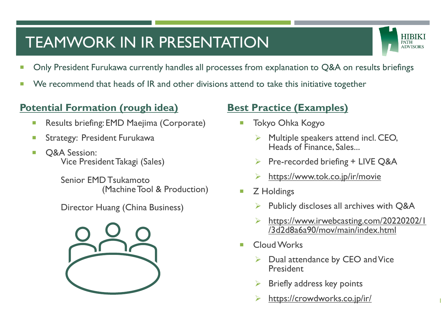# TEAMWORK IN IR PRESENTATION



1

- **Diam** Only President Furukawa currently handles all processes from explanation to Q&A on results briefings
- We recommend that heads of IR and other divisions attend to take this initiative together

#### **Potential Formation (rough idea)**

- **Results briefing: EMD Maejima (Corporate)**
- **Strategy: President Furukawa**
- **D** O&A Session: Vice President Takagi (Sales)

Senior EMD Tsukamoto (Machine Tool & Production)

Director Huang (China Business)



### **Best Practice (Examples)**

- Tokyo Ohka Kogyo
	- ➢ Multiple speakers attend incl. CEO, Heads of Finance, Sales...
	- $\triangleright$  Pre-recorded briefing + LIVE Q&A
	- ➢ <https://www.tok.co.jp/ir/movie>
- **Z** Holdings
	- Publicly discloses all archives with Q&A
	- ➢ [https://www.irwebcasting.com/20220202/1](https://www.irwebcasting.com/20220202/1/3d2d8a6a90/mov/main/index.html) /3d2d8a6a90/mov/main/index.html
- **Cloud Works** 
	- ➢ Dual attendance by CEO and Vice **President**
	- ➢ Briefly address key points
	- <https://crowdworks.co.jp/ir/>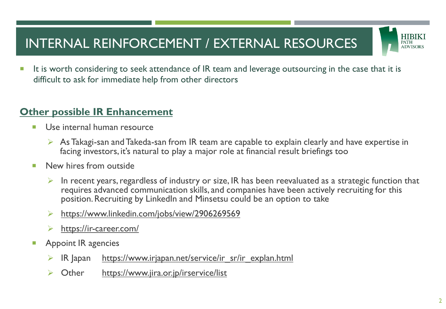### INTERNAL REINFORCEMENT / EXTERNAL RESOURCES



It is worth considering to seek attendance of IR team and leverage outsourcing in the case that it is difficult to ask for immediate help from other directors

#### **Other possible IR Enhancement**

- **Use internal human resource** 
	- $\triangleright$  As Takagi-san and Takeda-san from IR team are capable to explain clearly and have expertise in facing investors, it's natural to play a major role at financial result briefings too
- New hires from outside
	- In recent years, regardless of industry or size, IR has been reevaluated as a strategic function that requires advanced communication skills, and companies have been actively recruiting for this position. Recruiting by LinkedIn and Minsetsu could be an option to take
	- ➢ <https://www.linkedin.com/jobs/view/2906269569>
	- <https://ir-career.com/>
- Appoint IR agencies
	- IR Japan [https://www.irjapan.net/service/ir\\_sr/ir\\_explan.html](https://www.irjapan.net/service/ir_sr/ir_explan.html)
	- Other <https://www.jira.or.jp/irservice/list>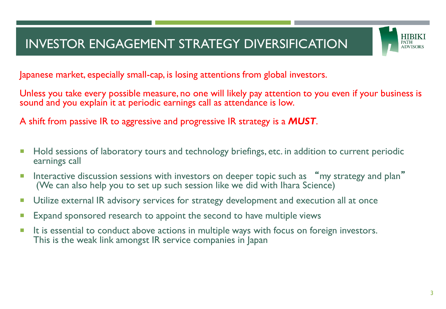### INVESTOR ENGAGEMENT STRATEGY DIVERSIFICATION



Japanese market, especially small-cap, is losing attentions from global investors.

Unless you take every possible measure, no one will likely pay attention to you even if your business is sound and you explain it at periodic earnings call as attendance is low.

A shift from passive IR to aggressive and progressive IR strategy is a *MUST*.

- **Hold sessions of laboratory tours and technology briefings, etc. in addition to current periodic** earnings call
- Interactive discussion sessions with investors on deeper topic such as "my strategy and plan" (We can also help you to set up such session like we did with Ihara Science)
- **Utilize external IR advisory services for strategy development and execution all at once**
- **Expand sponsored research to appoint the second to have multiple views**
- It is essential to conduct above actions in multiple ways with focus on foreign investors. This is the weak link amongst IR service companies in Japan